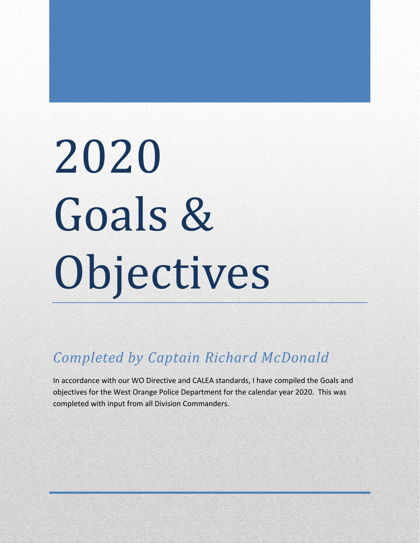# 2020 Goals & Objectives

*Completed by Captain Richard McDonald*

In accordance with our WO Directive and CALEA standards, I have compiled the Goals and objectives for the West Orange Police Department for the calendar year 2020. This was completed with input from all Division Commanders.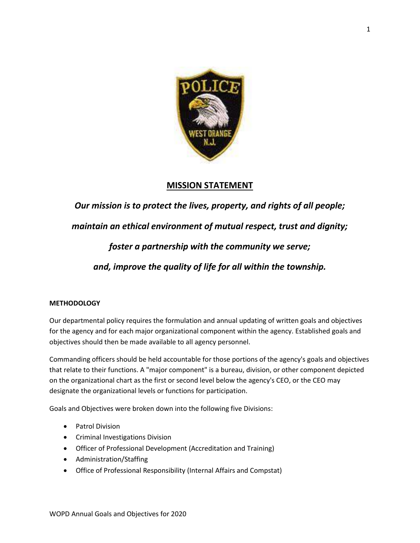

### **MISSION STATEMENT**

*Our mission is to protect the lives, property, and rights of all people;*

*maintain an ethical environment of mutual respect, trust and dignity;* 

*foster a partnership with the community we serve;* 

*and, improve the quality of life for all within the township.*

#### **METHODOLOGY**

Our departmental policy requires the formulation and annual updating of written goals and objectives for the agency and for each major organizational component within the agency. Established goals and objectives should then be made available to all agency personnel.

Commanding officers should be held accountable for those portions of the agency's goals and objectives that relate to their functions. A "major component" is a bureau, division, or other component depicted on the organizational chart as the first or second level below the agency's CEO, or the CEO may designate the organizational levels or functions for participation.

Goals and Objectives were broken down into the following five Divisions:

- Patrol Division
- Criminal Investigations Division
- Officer of Professional Development (Accreditation and Training)
- Administration/Staffing
- Office of Professional Responsibility (Internal Affairs and Compstat)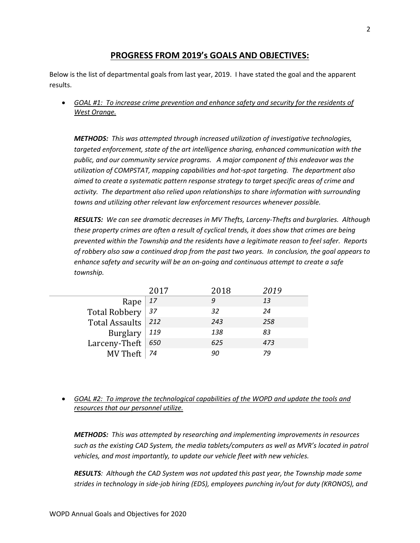## **PROGRESS FROM 2019's GOALS AND OBJECTIVES:**

Below is the list of departmental goals from last year, 2019. I have stated the goal and the apparent results.

• *GOAL #1: To increase crime prevention and enhance safety and security for the residents of West Orange.*

*METHODS: This was attempted through increased utilization of investigative technologies, targeted enforcement, state of the art intelligence sharing, enhanced communication with the public, and our community service programs. A major component of this endeavor was the utilization of COMPSTAT, mapping capabilities and hot-spot targeting. The department also aimed to create a systematic pattern response strategy to target specific areas of crime and activity. The department also relied upon relationships to share information with surrounding towns and utilizing other relevant law enforcement resources whenever possible.*

*RESULTS: We can see dramatic decreases in MV Thefts, Larceny-Thefts and burglaries. Although these property crimes are often a result of cyclical trends, it does show that crimes are being prevented within the Township and the residents have a legitimate reason to feel safer. Reports of robbery also saw a continued drop from the past two years. In conclusion, the goal appears to enhance safety and security will be an on-going and continuous attempt to create a safe township.*

|                      | 2017      | 2018 | 2019 |
|----------------------|-----------|------|------|
| Rape                 | $\mid$ 17 | 9    | 13   |
| Total Robbery 37     |           | 32   | 24   |
| Total Assaults   212 |           | 243  | 258  |
| Burglary   $119$     |           | 138  | 83   |
| Larceny-Theft $650$  |           | 625  | 473  |
| MV Theft $ 74$       |           | 90   | 79   |

• *GOAL #2: To improve the technological capabilities of the WOPD and update the tools and resources that our personnel utilize.*

*METHODS: This was attempted by researching and implementing improvements in resources such as the existing CAD System, the media tablets/computers as well as MVR's located in patrol vehicles, and most importantly, to update our vehicle fleet with new vehicles.*

*RESULTS: Although the CAD System was not updated this past year, the Township made some strides in technology in side-job hiring (EDS), employees punching in/out for duty (KRONOS), and*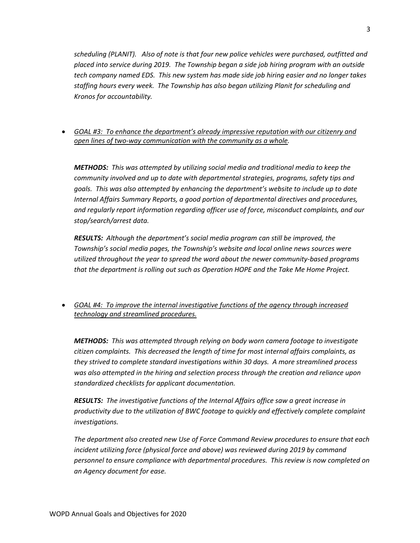*scheduling (PLANIT). Also of note is that four new police vehicles were purchased, outfitted and placed into service during 2019. The Township began a side job hiring program with an outside tech company named EDS. This new system has made side job hiring easier and no longer takes staffing hours every week. The Township has also began utilizing Planit for scheduling and Kronos for accountability.* 

• *GOAL #3: To enhance the department's already impressive reputation with our citizenry and open lines of two-way communication with the community as a whole.*

*METHODS: This was attempted by utilizing social media and traditional media to keep the community involved and up to date with departmental strategies, programs, safety tips and goals. This was also attempted by enhancing the department's website to include up to date Internal Affairs Summary Reports, a good portion of departmental directives and procedures, and regularly report information regarding officer use of force, misconduct complaints, and our stop/search/arrest data.* 

*RESULTS: Although the department's social media program can still be improved, the Township's social media pages, the Township's website and local online news sources were utilized throughout the year to spread the word about the newer community-based programs that the department is rolling out such as Operation HOPE and the Take Me Home Project.*

• *GOAL #4: To improve the internal investigative functions of the agency through increased technology and streamlined procedures.*

*METHODS: This was attempted through relying on body worn camera footage to investigate citizen complaints. This decreased the length of time for most internal affairs complaints, as they strived to complete standard investigations within 30 days. A more streamlined process was also attempted in the hiring and selection process through the creation and reliance upon standardized checklists for applicant documentation.*

*RESULTS: The investigative functions of the Internal Affairs office saw a great increase in productivity due to the utilization of BWC footage to quickly and effectively complete complaint investigations.*

*The department also created new Use of Force Command Review procedures to ensure that each incident utilizing force (physical force and above) was reviewed during 2019 by command personnel to ensure compliance with departmental procedures. This review is now completed on an Agency document for ease.*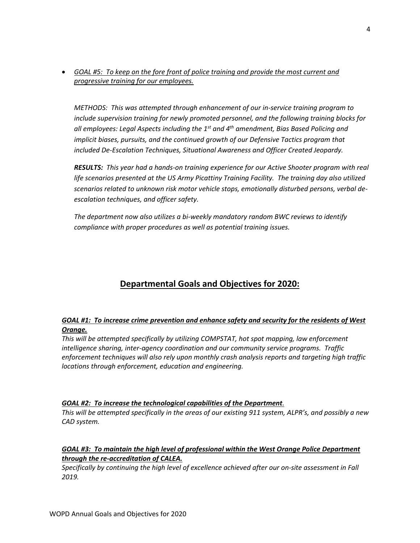• *GOAL #5: To keep on the fore front of police training and provide the most current and progressive training for our employees.*

*METHODS: This was attempted through enhancement of our in-service training program to include supervision training for newly promoted personnel, and the following training blocks for all employees: Legal Aspects including the 1st and 4th amendment, Bias Based Policing and implicit biases, pursuits, and the continued growth of our Defensive Tactics program that included De-Escalation Techniques, Situational Awareness and Officer Created Jeopardy.* 

*RESULTS: This year had a hands-on training experience for our Active Shooter program with real life scenarios presented at the US Army Picattiny Training Facility. The training day also utilized scenarios related to unknown risk motor vehicle stops, emotionally disturbed persons, verbal deescalation techniques, and officer safety.* 

*The department now also utilizes a bi-weekly mandatory random BWC reviews to identify compliance with proper procedures as well as potential training issues.* 

# **Departmental Goals and Objectives for 2020:**

#### *GOAL #1: To increase crime prevention and enhance safety and security for the residents of West Orange.*

*This will be attempted specifically by utilizing COMPSTAT, hot spot mapping, law enforcement intelligence sharing, inter-agency coordination and our community service programs. Traffic enforcement techniques will also rely upon monthly crash analysis reports and targeting high traffic locations through enforcement, education and engineering.*

#### *GOAL #2: To increase the technological capabilities of the Department.*

*This will be attempted specifically in the areas of our existing 911 system, ALPR's, and possibly a new CAD system.*

#### *GOAL #3: To maintain the high level of professional within the West Orange Police Department through the re-accreditation of CALEA.*

*Specifically by continuing the high level of excellence achieved after our on-site assessment in Fall 2019.*